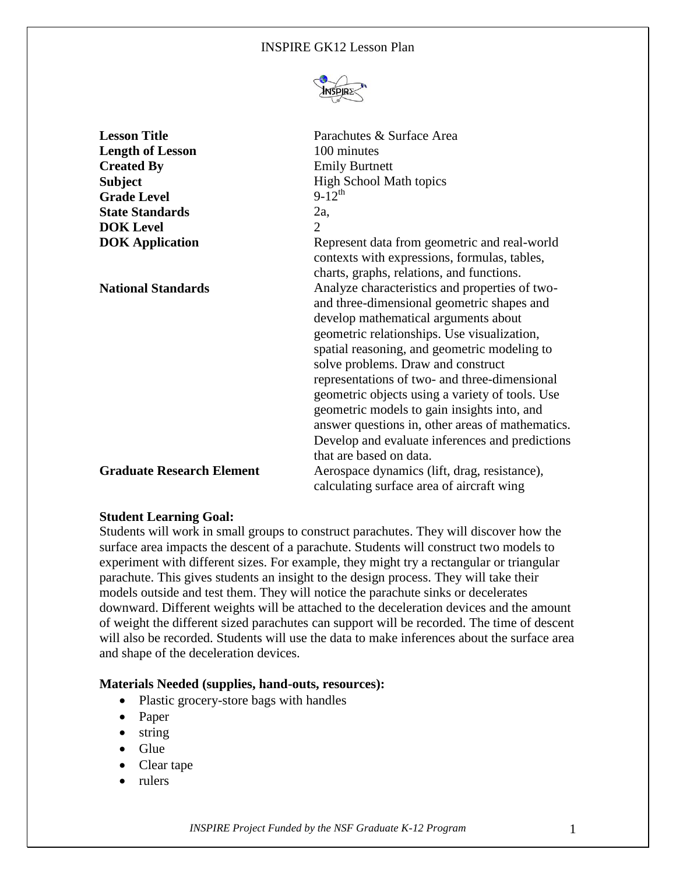#### INSPIRE GK12 Lesson Plan



| <b>Lesson Title</b>              | Parachutes & Surface Area                        |
|----------------------------------|--------------------------------------------------|
| <b>Length of Lesson</b>          | 100 minutes                                      |
| <b>Created By</b>                | <b>Emily Burtnett</b>                            |
| <b>Subject</b>                   | <b>High School Math topics</b>                   |
| <b>Grade Level</b>               | $9-12^{th}$                                      |
| <b>State Standards</b>           | $2a$ ,                                           |
| <b>DOK</b> Level                 | 2                                                |
| <b>DOK</b> Application           | Represent data from geometric and real-world     |
|                                  | contexts with expressions, formulas, tables,     |
|                                  | charts, graphs, relations, and functions.        |
| <b>National Standards</b>        | Analyze characteristics and properties of two-   |
|                                  | and three-dimensional geometric shapes and       |
|                                  | develop mathematical arguments about             |
|                                  | geometric relationships. Use visualization,      |
|                                  | spatial reasoning, and geometric modeling to     |
|                                  | solve problems. Draw and construct               |
|                                  | representations of two- and three-dimensional    |
|                                  | geometric objects using a variety of tools. Use  |
|                                  | geometric models to gain insights into, and      |
|                                  | answer questions in, other areas of mathematics. |
|                                  | Develop and evaluate inferences and predictions  |
|                                  | that are based on data.                          |
| <b>Graduate Research Element</b> | Aerospace dynamics (lift, drag, resistance),     |
|                                  | calculating surface area of aircraft wing        |

## **Student Learning Goal:**

Students will work in small groups to construct parachutes. They will discover how the surface area impacts the descent of a parachute. Students will construct two models to experiment with different sizes. For example, they might try a rectangular or triangular parachute. This gives students an insight to the design process. They will take their models outside and test them. They will notice the parachute sinks or decelerates downward. Different weights will be attached to the deceleration devices and the amount of weight the different sized parachutes can support will be recorded. The time of descent will also be recorded. Students will use the data to make inferences about the surface area and shape of the deceleration devices.

#### **Materials Needed (supplies, hand-outs, resources):**

- Plastic grocery-store bags with handles
- Paper
- $\bullet$  string
- $\bullet$  Glue
- Clear tape
- rulers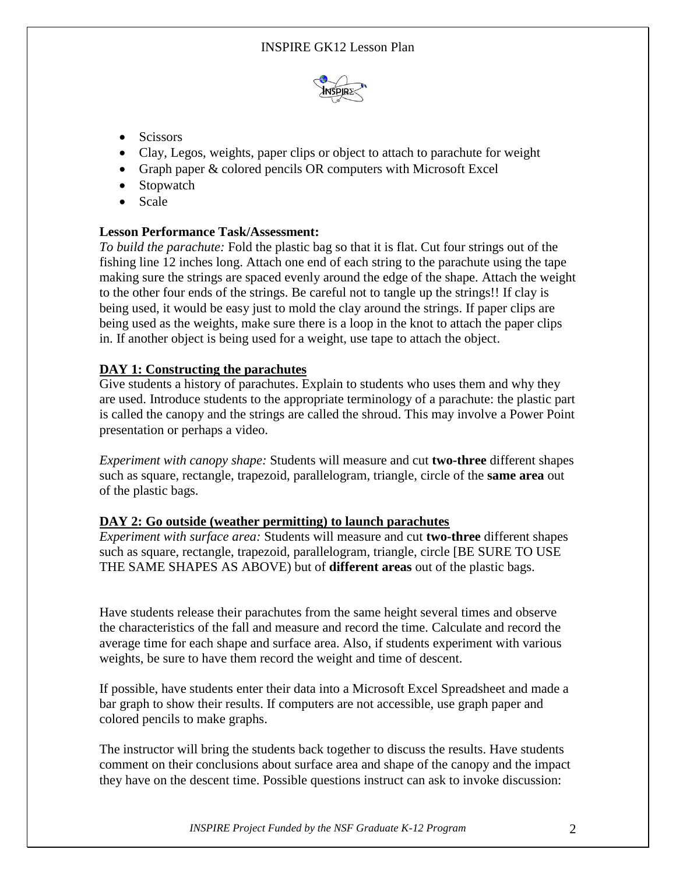

- Scissors
- Clay, Legos, weights, paper clips or object to attach to parachute for weight
- Graph paper & colored pencils OR computers with Microsoft Excel
- Stopwatch
- Scale

# **Lesson Performance Task/Assessment:**

*To build the parachute:* Fold the plastic bag so that it is flat. Cut four strings out of the fishing line 12 inches long. Attach one end of each string to the parachute using the tape making sure the strings are spaced evenly around the edge of the shape. Attach the weight to the other four ends of the strings. Be careful not to tangle up the strings!! If clay is being used, it would be easy just to mold the clay around the strings. If paper clips are being used as the weights, make sure there is a loop in the knot to attach the paper clips in. If another object is being used for a weight, use tape to attach the object.

# **DAY 1: Constructing the parachutes**

Give students a history of parachutes. Explain to students who uses them and why they are used. Introduce students to the appropriate terminology of a parachute: the plastic part is called the canopy and the strings are called the shroud. This may involve a Power Point presentation or perhaps a video.

*Experiment with canopy shape:* Students will measure and cut **two-three** different shapes such as square, rectangle, trapezoid, parallelogram, triangle, circle of the **same area** out of the plastic bags.

# **DAY 2: Go outside (weather permitting) to launch parachutes**

*Experiment with surface area:* Students will measure and cut **two-three** different shapes such as square, rectangle, trapezoid, parallelogram, triangle, circle [BE SURE TO USE THE SAME SHAPES AS ABOVE) but of **different areas** out of the plastic bags.

Have students release their parachutes from the same height several times and observe the characteristics of the fall and measure and record the time. Calculate and record the average time for each shape and surface area. Also, if students experiment with various weights, be sure to have them record the weight and time of descent.

If possible, have students enter their data into a Microsoft Excel Spreadsheet and made a bar graph to show their results. If computers are not accessible, use graph paper and colored pencils to make graphs.

The instructor will bring the students back together to discuss the results. Have students comment on their conclusions about surface area and shape of the canopy and the impact they have on the descent time. Possible questions instruct can ask to invoke discussion: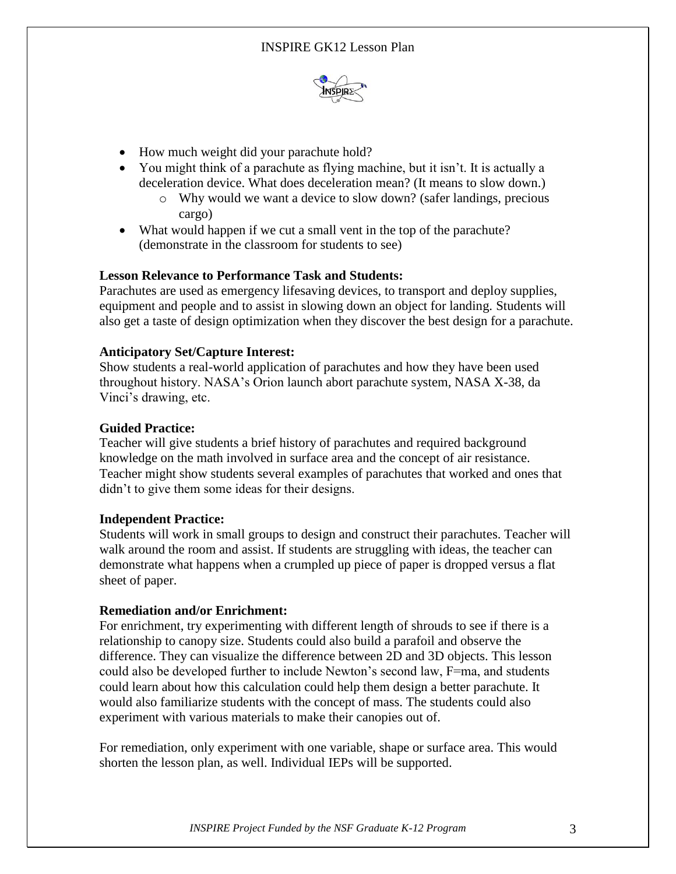

- How much weight did your parachute hold?
- You might think of a parachute as flying machine, but it isn't. It is actually a deceleration device. What does deceleration mean? (It means to slow down.)
	- o Why would we want a device to slow down? (safer landings, precious cargo)
- What would happen if we cut a small vent in the top of the parachute? (demonstrate in the classroom for students to see)

## **Lesson Relevance to Performance Task and Students:**

Parachutes are used as emergency lifesaving devices, to transport and deploy supplies, equipment and people and to assist in slowing down an object for landing. Students will also get a taste of design optimization when they discover the best design for a parachute.

## **Anticipatory Set/Capture Interest:**

Show students a real-world application of parachutes and how they have been used throughout history. NASA's Orion launch abort parachute system, NASA X-38, da Vinci's drawing, etc.

## **Guided Practice:**

Teacher will give students a brief history of parachutes and required background knowledge on the math involved in surface area and the concept of air resistance. Teacher might show students several examples of parachutes that worked and ones that didn't to give them some ideas for their designs.

## **Independent Practice:**

Students will work in small groups to design and construct their parachutes. Teacher will walk around the room and assist. If students are struggling with ideas, the teacher can demonstrate what happens when a crumpled up piece of paper is dropped versus a flat sheet of paper.

## **Remediation and/or Enrichment:**

For enrichment, try experimenting with different length of shrouds to see if there is a relationship to canopy size. Students could also build a parafoil and observe the difference. They can visualize the difference between 2D and 3D objects. This lesson could also be developed further to include Newton's second law, F=ma, and students could learn about how this calculation could help them design a better parachute. It would also familiarize students with the concept of mass. The students could also experiment with various materials to make their canopies out of.

For remediation, only experiment with one variable, shape or surface area. This would shorten the lesson plan, as well. Individual IEPs will be supported.